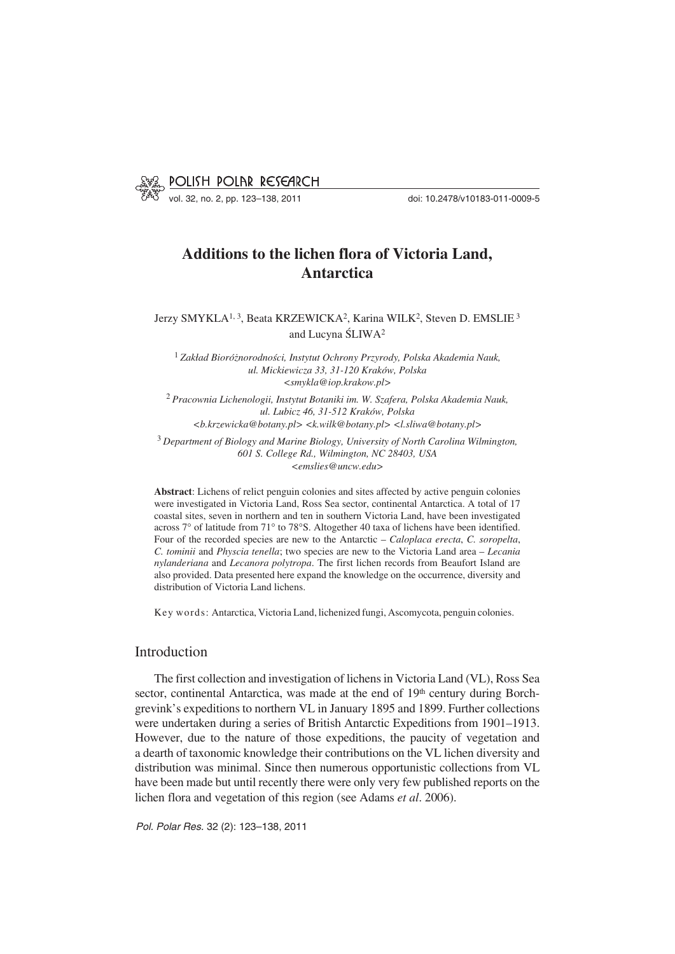

vol. 32, no. 2, pp. 123–138, 2011 doi: 10.2478/v10183−011−0009−5

# **Additions to the lichen flora of Victoria Land, Antarctica**

Jerzy SMYKLA<sup>1, 3</sup>, Beata KRZEWICKA<sup>2</sup>, Karina WILK<sup>2</sup>, Steven D. EMSLIE<sup>3</sup> and Lucyna ŚLIWA2

<sup>1</sup> *Zakład Bioróżnorodności, Instytut Ochrony Przyrody, Polska Akademia Nauk, ul. Mickiewicza 33, 31−120 Kraków, Polska <smykla@iop.krakow.pl>*

<sup>2</sup> *Pracownia Lichenologii, Instytut Botaniki im. W. Szafera, Polska Akademia Nauk, ul. Lubicz 46, 31−512 Kraków, Polska <b.krzewicka@botany.pl> <k.wilk@botany.pl> <l.sliwa@botany.pl>*

<sup>3</sup> *Department of Biology and Marine Biology, University of North Carolina Wilmington, 601 S. College Rd., Wilmington, NC 28403, USA <emslies@uncw.edu>*

**Abstract**: Lichens of relict penguin colonies and sites affected by active penguin colonies were investigated in Victoria Land, Ross Sea sector, continental Antarctica. A total of 17 coastal sites, seven in northern and ten in southern Victoria Land, have been investigated coastal sites, seven in northern and ten in southern Victoria Land, have been investigated across 7° of latitude from 71° to 78°S. Altogether 40 taxa of lichens have been identified. Four of the recorded species are new to the Antarctic – *Caloplaca erecta*, *C. soropelta*, *C. tominii* and *Physcia tenella*; two species are new to the Victoria Land area – *Lecania nylanderiana* and *Lecanora polytropa*. The first lichen records from Beaufort Island are also provided. Data presented here expand the knowledge on the occurrence, diversity and distribution of Victoria Land lichens.

Key words: Antarctica, Victoria Land, lichenized fungi, Ascomycota, penguin colonies.

# Introduction

The first collection and investigation of lichens in Victoria Land (VL), Ross Sea sector, continental Antarctica, was made at the end of 19<sup>th</sup> century during Borch− grevink's expeditions to northern VL in January 1895 and 1899. Further collections were undertaken during a series of British Antarctic Expeditions from 1901–1913. However, due to the nature of those expeditions, the paucity of vegetation and a dearth of taxonomic knowledge their contributions on the VL lichen diversity and distribution was minimal. Since then numerous opportunistic collections from VL have been made but until recently there were only very few published reports on the lichen flora and vegetation of this region (see Adams *et al*. 2006).

*Pol. Polar Res.* 32 (2): 123–138, 2011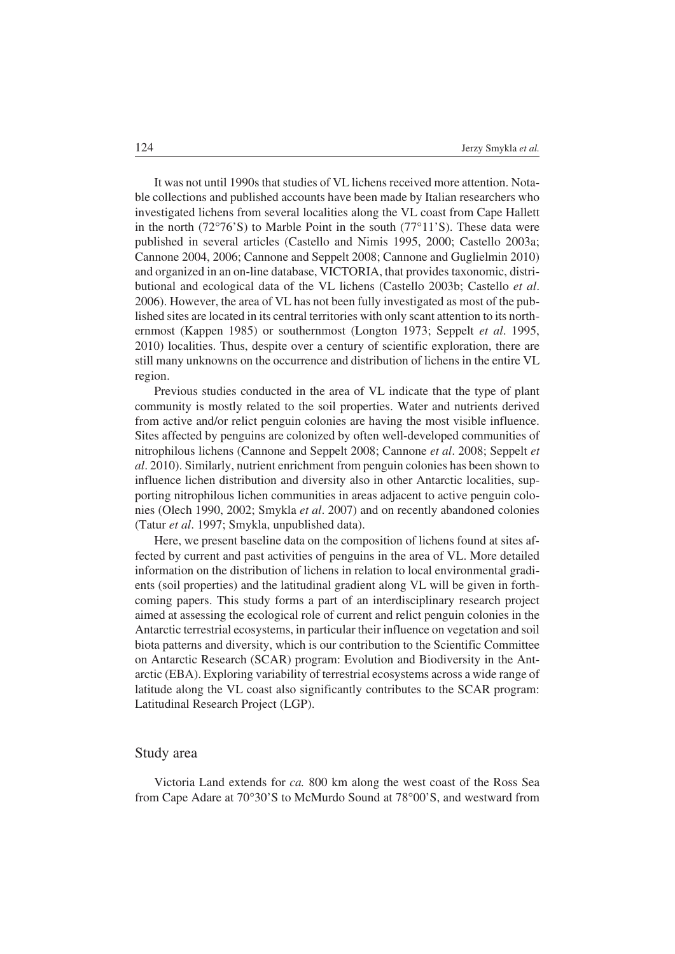It was not until 1990s that studies of VL lichens received more attention. Nota− ble collections and published accounts have been made by Italian researchers who investigated lichens from several localities along the VL coast from Cape Hallett investigated lichens from several localities along the VL coast from Cape Hallett<br>in the north (72°76'S) to Marble Point in the south (77°11'S). These data were published in several articles (Castello and Nimis 1995, 2000; Castello 2003a; Cannone 2004, 2006; Cannone and Seppelt 2008; Cannone and Guglielmin 2010) and organized in an on−line database, VICTORIA, that provides taxonomic, distri− butional and ecological data of the VL lichens (Castello 2003b; Castello *et al*. 2006). However, the area of VL has not been fully investigated as most of the pub− lished sites are located in its central territories with only scant attention to its north− ernmost (Kappen 1985) or southernmost (Longton 1973; Seppelt *et al*. 1995, 2010) localities. Thus, despite over a century of scientific exploration, there are still many unknowns on the occurrence and distribution of lichens in the entire VL region.

Previous studies conducted in the area of VL indicate that the type of plant community is mostly related to the soil properties. Water and nutrients derived from active and/or relict penguin colonies are having the most visible influence. Sites affected by penguins are colonized by often well−developed communities of nitrophilous lichens (Cannone and Seppelt 2008; Cannone *et al*. 2008; Seppelt *et al*. 2010). Similarly, nutrient enrichment from penguin colonies has been shown to influence lichen distribution and diversity also in other Antarctic localities, sup− porting nitrophilous lichen communities in areas adjacent to active penguin colo− nies (Olech 1990, 2002; Smykla *et al*. 2007) and on recently abandoned colonies (Tatur *et al*. 1997; Smykla, unpublished data).

Here, we present baseline data on the composition of lichens found at sites affected by current and past activities of penguins in the area of VL. More detailed information on the distribution of lichens in relation to local environmental gradi− ents (soil properties) and the latitudinal gradient along VL will be given in forth− coming papers. This study forms a part of an interdisciplinary research project aimed at assessing the ecological role of current and relict penguin colonies in the Antarctic terrestrial ecosystems, in particular their influence on vegetation and soil biota patterns and diversity, which is our contribution to the Scientific Committee on Antarctic Research (SCAR) program: Evolution and Biodiversity in the Ant− arctic (EBA). Exploring variability of terrestrial ecosystems across a wide range of latitude along the VL coast also significantly contributes to the SCAR program: Latitudinal Research Project (LGP).

# Study area

Victoria Land extends for *ca*. 800 km along the west coast of the Ross Sea in Cape Adare at 70°30'S to McMurdo Sound at 78°00'S, and westward from Victoria Land extends for *ca*. 800 km along the west coast of the Ross Sea from Cape Adare at  $70^{\circ}30'$ S to McMurdo Sound at  $78^{\circ}00'$ S, and westward from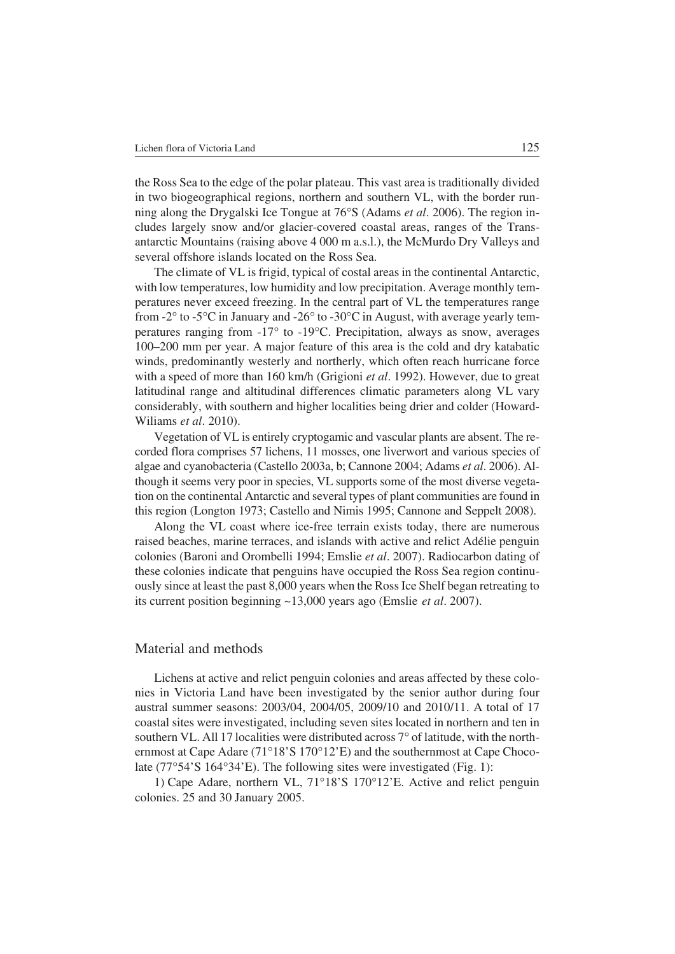the Ross Sea to the edge of the polar plateau. This vast area is traditionally divided in two biogeographical regions, northern and southern VL, with the border running along the Drygalski Ice Tongue at  $76^{\circ}S$  (Adams *et al.* 2006). The region inning along the Drygalski Ice Tongue at 76°S (Adams *et al.* 2006). The region in− cludes largely snow and/or glacier−covered coastal areas, ranges of the Trans− antarctic Mountains (raising above 4 000 m a.s.l.), the McMurdo Dry Valleys and several offshore islands located on the Ross Sea.

The climate of VL is frigid, typical of costal areas in the continental Antarctic, with low temperatures, low humidity and low precipitation. Average monthly tem− peratures never exceed freezing. In the central part of VL the temperatures range from -2° to -5°C in January and -26° to -30°C in August, with average yearly temfrom -2 $\degree$  to -5 $\degree$ C in January and -26 $\degree$  to -30 $\degree$ C in August, with average yearly temfrom -2° to -5°C in January and -26° to -30°C in August, with average yearly temperatures ranging from -17° to -19°C. Precipitation, always as snow, averages 100–200 mm per year. A major feature of this area is the cold and dry katabatic winds, predominantly westerly and northerly, which often reach hurricane force with a speed of more than 160 km/h (Grigioni *et al*. 1992). However, due to great latitudinal range and altitudinal differences climatic parameters along VL vary considerably, with southern and higher localities being drier and colder (Howard− Wiliams *et al*. 2010).

Vegetation of VL is entirely cryptogamic and vascular plants are absent. The re− corded flora comprises 57 lichens, 11 mosses, one liverwort and various species of algae and cyanobacteria (Castello 2003a, b; Cannone 2004; Adams *et al*. 2006). Al− though it seems very poor in species, VL supports some of the most diverse vegeta− tion on the continental Antarctic and several types of plant communities are found in this region (Longton 1973; Castello and Nimis 1995; Cannone and Seppelt 2008).

Along the VL coast where ice−free terrain exists today, there are numerous raised beaches, marine terraces, and islands with active and relict Adélie penguin colonies (Baroni and Orombelli 1994; Emslie *et al*. 2007). Radiocarbon dating of these colonies indicate that penguins have occupied the Ross Sea region continu− ously since at least the past 8,000 years when the Ross Ice Shelf began retreating to its current position beginning ~13,000 years ago (Emslie *et al*. 2007).

# Material and methods

Lichens at active and relict penguin colonies and areas affected by these colo− nies in Victoria Land have been investigated by the senior author during four austral summer seasons: 2003/04, 2004/05, 2009/10 and 2010/11. A total of 17 coastal sites were investigated, including seven sites located in northern and ten in coastal sites were investigated, including seven sites located in northern and ten in southern VL. All 17 localities were distributed across 7° of latitude, with the north-<br>ernmost at Cape Adare (71°18'S 170°12'E) and the ernmost at Cape Adare (71°18'S 170°12'E) and the southernmost at Cape Choco-<br>late (77°54'S 164°34'E). The following sites were investigated (Fig. 1):  $(77°54'S 164°34'E)$ . The following sites were investigated (Fig. 1):<br>1) Cape Adare, northern VL,  $71°18'S 170°12'E$ . Active and relict

1) Cape Adare, northern VL, 71°18'S 170°12'E. Active and relict penguin colonies. 25 and 30 January 2005.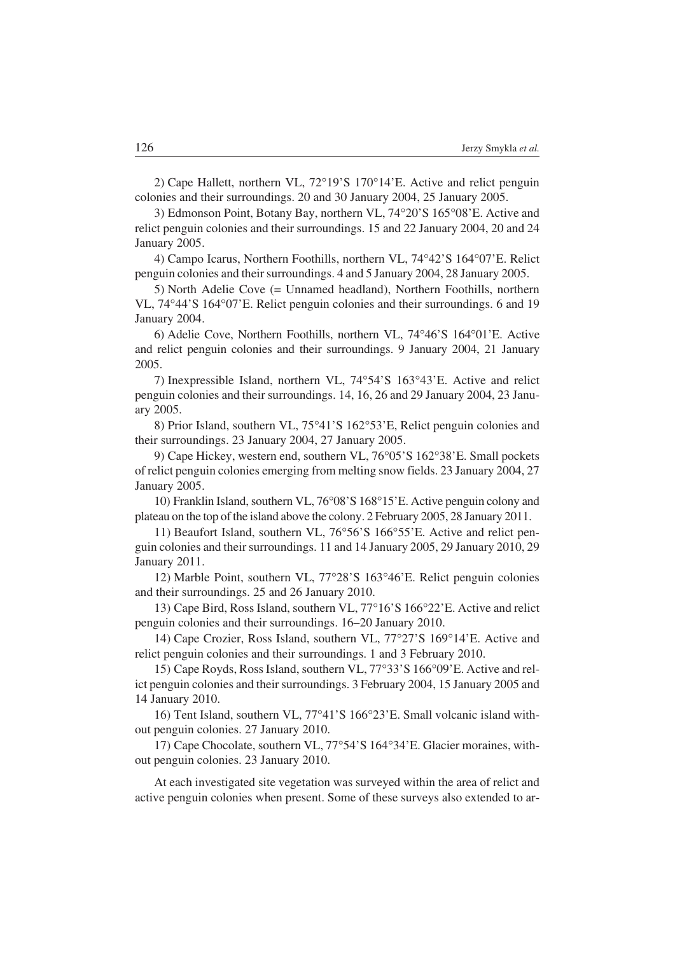2) Cape Hallett, northern VL, 72°19'S 170°14'E. Active and relict penguin colonies and their surroundings. 20 and 30 January 2004, 25 January 2005.<br>3) Edmonson Point, Botany Bay, northern VL, 74°20'S 165°08'E. Acti

3) Edmonson Point, Botany Bay, northern VL, 74°20'S 165°08'E. Active and relict penguin colonies and their surroundings. 15 and 22 January 2004, 20 and 24 January 2005. er and the Vallage of Saraganian and Taraganian and Saraganian and Saraganian and Campo Icarus, Northern Foothills, northern VL, 74°42'S 164°07'E. Relict

penguin colonies and their surroundings. 4 and 5 January 2004, 28 January 2005.

5) North Adelie Cove (= Unnamed headland), Northern Foothills, northern 5) North Adelie Cove (= Unnamed headland), Northern Foothills, northern VL, 74°44'S 164°07'E. Relict penguin colonies and their surroundings. 6 and 19 January 2004. external arry 2004.<br>
6) Adelie Cove, Northern Foothills, northern VL, 74°46'S 164°01'E. Active

and relict penguin colonies and their surroundings. 9 January 2004, 21 January 2005. 5.<br>7) Inexpressible Island, northern VL, 74°54'S 163°43'E. Active and relict

penguin colonies and their surroundings. 14, 16, 26 and 29 January 2004, 23 Janu− ary 2005. 2005.<br>8) Prior Island, southern VL, 75°41'S 162°53'E, Relict penguin colonies and

their surroundings. 23 January 2004, 27 January 2005. ended Franch Containery 2004, 2013<br>
19 Cape Hickey, western end, southern VL, 76°05'S 162°38'E. Small pockets

of relict penguin colonies emerging from melting snow fields. 23 January 2004, 27 January 2005. https://2005.<br>10) Franklin Island, southern VL, 76°08'S 168°15'E. Active penguin colony and

plateau on the top of the island above the colony. 2 February 2005, 28 January 2011. eau on the top of the island above the colony. 2 February 2005, 28 January 2011.<br>11) Beaufort Island, southern VL, 76°56'S 166°55'E. Active and relict pen-

guin colonies and their surroundings. 11 and 14 January 2005, 29 January 2010, 29 January 2011. nder 2011.<br>12) Marble Point, southern VL, 77°28'S 163°46'E. Relict penguin colonies

and their surroundings. 25 and 26 January 2010. their surroundings. 25 and 26 January 2010.<br>13) Cape Bird, Ross Island, southern VL, 77°16'S 166°22'E. Active and relict

penguin colonies and their surroundings. 16–20 January 2010. guin colonies and their surroundings. 16–20 January 2010.<br>14) Cape Crozier, Ross Island, southern VL, 77°27'S 169°14'E. Active and

relict penguin colonies and their surroundings. 1 and 3 February 2010. t penguin colonies and their surroundings. 1 and 3 February 2010.<br>15) Cape Royds, Ross Island, southern VL, 77°33'S 166°09'E. Active and rel-

ict penguin colonies and their surroundings. 3 February 2004, 15 January 2005 and 14 January 2010. Fraudary 2010.<br>
16) Tent Island, southern VL, 77°41'S 166°23'E. Small volcanic island with-

out penguin colonies. 27 January 2010. penguin colonies. 27 January 2010.<br>17) Cape Chocolate, southern VL, 77°54'S 164°34'E. Glacier moraines, with-

out penguin colonies. 23 January 2010.

At each investigated site vegetation was surveyed within the area of relict and active penguin colonies when present. Some of these surveys also extended to ar−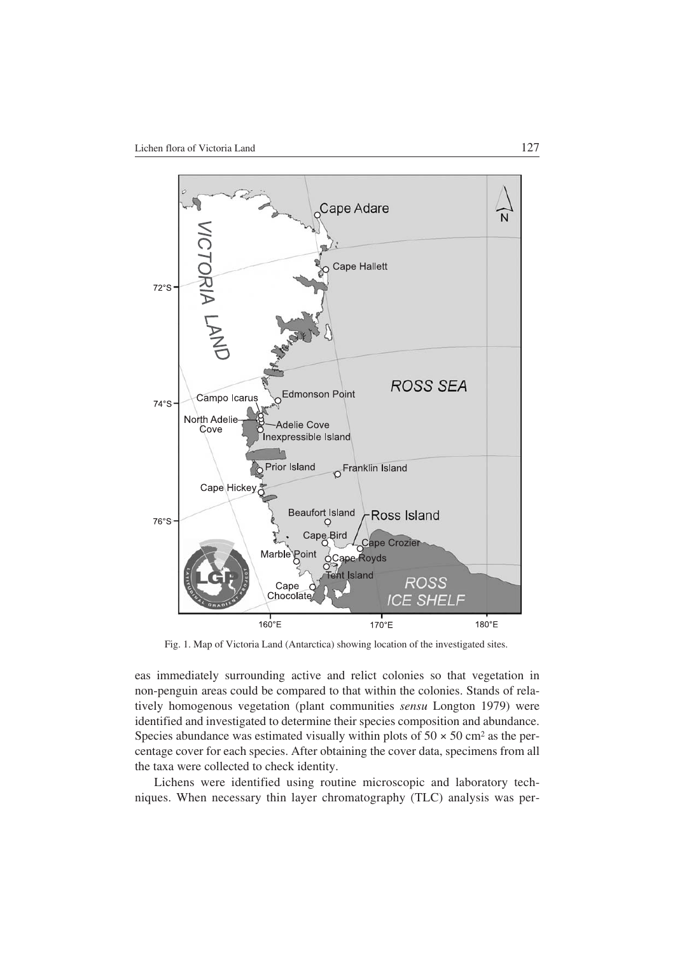

Fig. 1. Map of Victoria Land (Antarctica) showing location of the investigated sites.

eas immediately surrounding active and relict colonies so that vegetation in non−penguin areas could be compared to that within the colonies. Stands of rela− tively homogenous vegetation (plant communities *sensu* Longton 1979) were identified and investigated to determine their species composition and abundance. Species abundance was estimated visually within plots of  $50 \times 50$  cm<sup>2</sup> as the percentage cover for each species. After obtaining the cover data, specimens from all the taxa were collected to check identity.

Lichens were identified using routine microscopic and laboratory tech− niques. When necessary thin layer chromatography (TLC) analysis was per−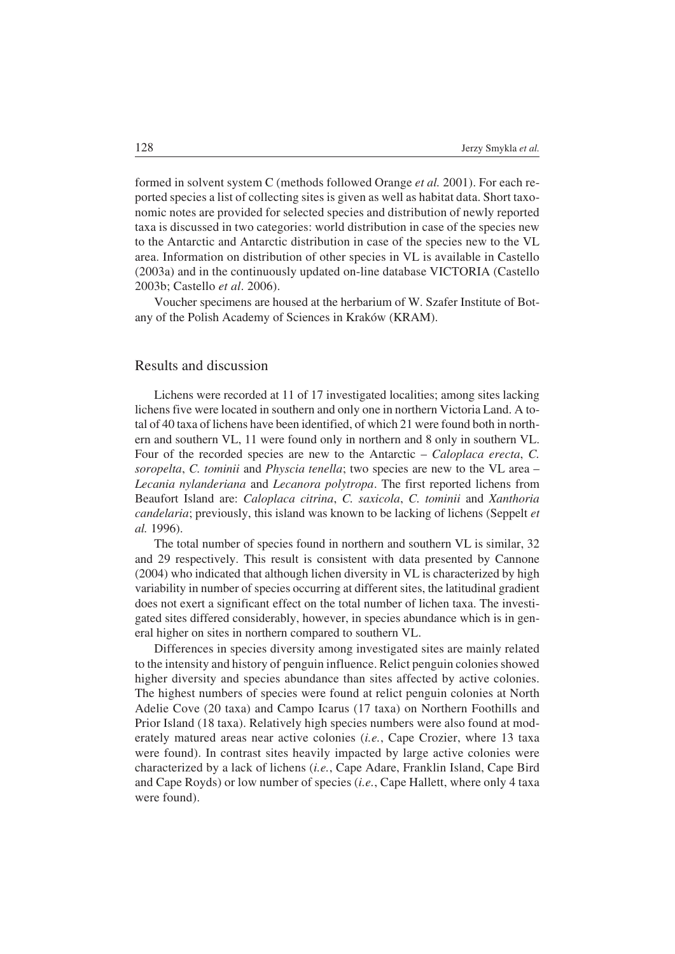formed in solvent system C (methods followed Orange *et al.* 2001). For each re− ported species a list of collecting sites is given as well as habitat data. Short taxo− nomic notes are provided for selected species and distribution of newly reported taxa is discussed in two categories: world distribution in case of the species new to the Antarctic and Antarctic distribution in case of the species new to the VL area. Information on distribution of other species in VL is available in Castello (2003a) and in the continuously updated on−line database VICTORIA (Castello 2003b; Castello *et al*. 2006).

Voucher specimens are housed at the herbarium of W. Szafer Institute of Bot− any of the Polish Academy of Sciences in Kraków (KRAM).

# Results and discussion

Lichens were recorded at 11 of 17 investigated localities; among sites lacking lichens five were located in southern and only one in northern Victoria Land. A to− tal of 40 taxa of lichens have been identified, of which 21 were found both in north− ern and southern VL, 11 were found only in northern and 8 only in southern VL. Four of the recorded species are new to the Antarctic – *Caloplaca erecta*, *C. soropelta*, *C. tominii* and *Physcia tenella*; two species are new to the VL area – *Lecania nylanderiana* and *Lecanora polytropa*. The first reported lichens from Beaufort Island are: *Caloplaca citrina*, *C. saxicola*, *C. tominii* and *Xanthoria candelaria*; previously, this island was known to be lacking of lichens (Seppelt *et al.* 1996).

The total number of species found in northern and southern VL is similar, 32 and 29 respectively. This result is consistent with data presented by Cannone (2004) who indicated that although lichen diversity in VL is characterized by high variability in number of species occurring at different sites, the latitudinal gradient does not exert a significant effect on the total number of lichen taxa. The investi− gated sites differed considerably, however, in species abundance which is in gen− eral higher on sites in northern compared to southern VL.

Differences in species diversity among investigated sites are mainly related to the intensity and history of penguin influence. Relict penguin colonies showed higher diversity and species abundance than sites affected by active colonies. The highest numbers of species were found at relict penguin colonies at North Adelie Cove (20 taxa) and Campo Icarus (17 taxa) on Northern Foothills and Prior Island (18 taxa). Relatively high species numbers were also found at mod− erately matured areas near active colonies (*i.e.*, Cape Crozier, where 13 taxa were found). In contrast sites heavily impacted by large active colonies were characterized by a lack of lichens (*i.e.*, Cape Adare, Franklin Island, Cape Bird and Cape Royds) or low number of species (*i.e.*, Cape Hallett, where only 4 taxa were found).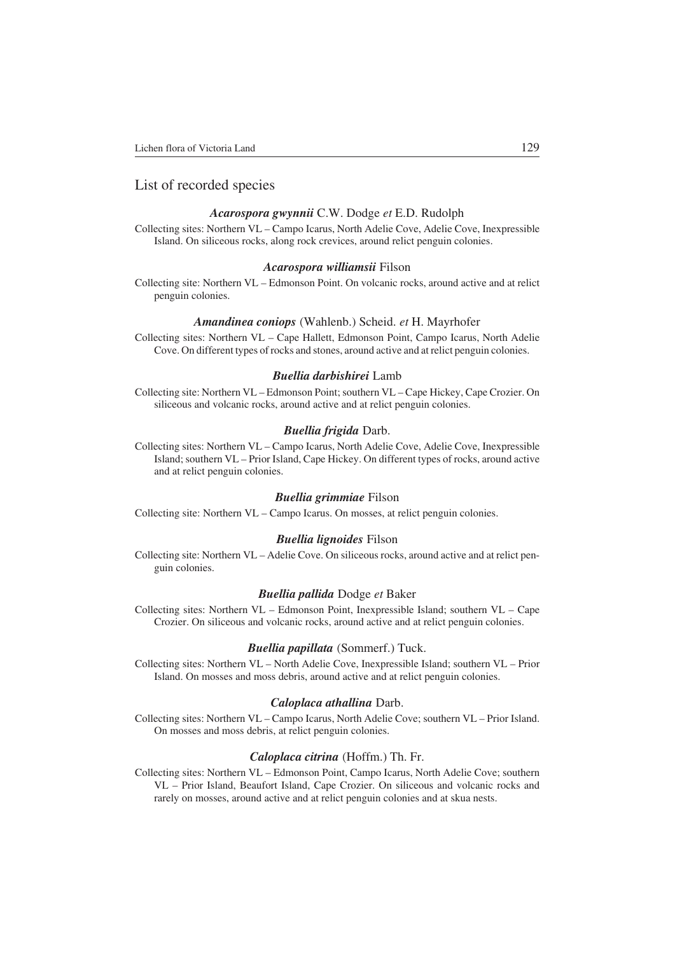# List of recorded species

### *Acarospora gwynnii* C.W. Dodge *et* E.D. Rudolph

Collecting sites: Northern VL – Campo Icarus, North Adelie Cove, Adelie Cove, Inexpressible Island. On siliceous rocks, along rock crevices, around relict penguin colonies.

#### *Acarospora williamsii* Filson

Collecting site: Northern VL – Edmonson Point. On volcanic rocks, around active and at relict penguin colonies.

#### *Amandinea coniops* (Wahlenb.) Scheid. *et* H. Mayrhofer

Collecting sites: Northern VL – Cape Hallett, Edmonson Point, Campo Icarus, North Adelie Cove. On different types of rocks and stones, around active and at relict penguin colonies.

#### *Buellia darbishirei* Lamb

Collecting site: Northern VL – Edmonson Point; southern VL – Cape Hickey, Cape Crozier. On siliceous and volcanic rocks, around active and at relict penguin colonies.

#### *Buellia frigida* Darb.

Collecting sites: Northern VL – Campo Icarus, North Adelie Cove, Adelie Cove, Inexpressible Island; southern VL – Prior Island, Cape Hickey. On different types of rocks, around active and at relict penguin colonies.

#### *Buellia grimmiae* Filson

Collecting site: Northern VL – Campo Icarus. On mosses, at relict penguin colonies.

#### *Buellia lignoides* Filson

Collecting site: Northern VL – Adelie Cove. On siliceous rocks, around active and at relict pen− guin colonies.

#### *Buellia pallida* Dodge *et* Baker

Collecting sites: Northern VL – Edmonson Point, Inexpressible Island; southern VL – Cape Crozier. On siliceous and volcanic rocks, around active and at relict penguin colonies.

#### *Buellia papillata* (Sommerf.) Tuck.

Collecting sites: Northern VL – North Adelie Cove, Inexpressible Island; southern VL – Prior Island. On mosses and moss debris, around active and at relict penguin colonies.

#### *Caloplaca athallina* Darb.

Collecting sites: Northern VL – Campo Icarus, North Adelie Cove; southern VL – Prior Island. On mosses and moss debris, at relict penguin colonies.

#### *Caloplaca citrina* (Hoffm.) Th. Fr.

Collecting sites: Northern VL – Edmonson Point, Campo Icarus, North Adelie Cove; southern VL – Prior Island, Beaufort Island, Cape Crozier. On siliceous and volcanic rocks and rarely on mosses, around active and at relict penguin colonies and at skua nests.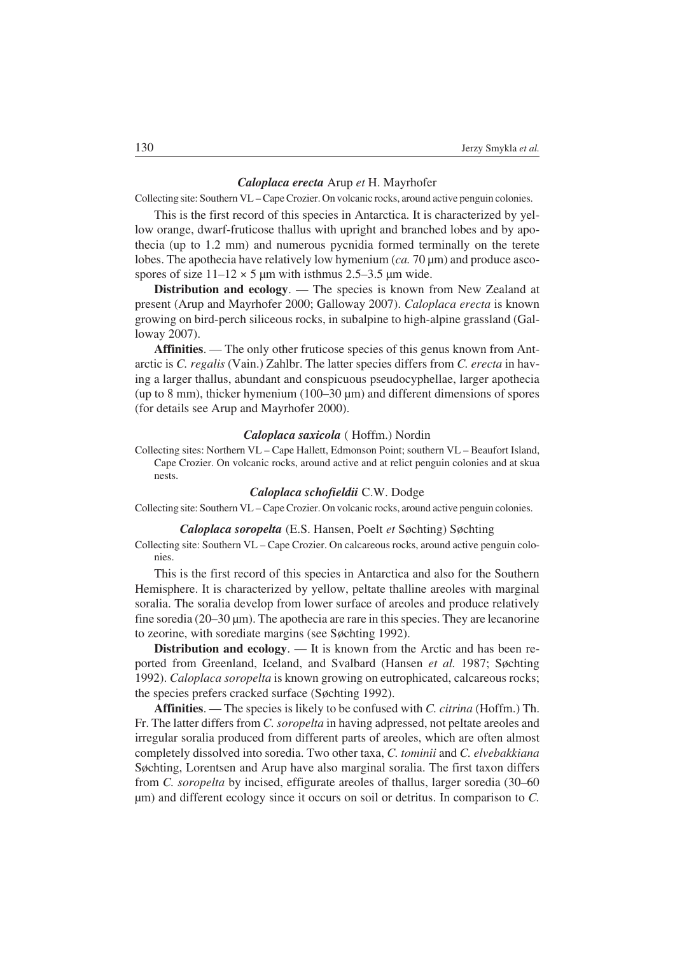#### *Caloplaca erecta* Arup *et* H. Mayrhofer

Collecting site: Southern VL – Cape Crozier. On volcanic rocks, around active penguin colonies.

This is the first record of this species in Antarctica. It is characterized by yel− low orange, dwarf−fruticose thallus with upright and branched lobes and by apo− thecia (up to 1.2 mm) and numerous pycnidia formed terminally on the terete lobes. The apothecia have relatively low hymenium (*ca.* 70 μm) and produce asco− spores of size  $11-12 \times 5$  μm with isthmus 2.5–3.5 μm wide.

**Distribution and ecology**. — The species is known from New Zealand at present (Arup and Mayrhofer 2000; Galloway 2007). *Caloplaca erecta* is known growing on bird−perch siliceous rocks, in subalpine to high−alpine grassland (Gal− loway 2007).

**Affinities**. — The only other fruticose species of this genus known from Ant− arctic is *C. regalis* (Vain.) Zahlbr. The latter species differs from *C. erecta* in hav− ing a larger thallus, abundant and conspicuous pseudocyphellae, larger apothecia (up to 8 mm), thicker hymenium (100–30 μm) and different dimensions of spores (for details see Arup and Mayrhofer 2000).

#### *Caloplaca saxicola* ( Hoffm.) Nordin

Collecting sites: Northern VL – Cape Hallett, Edmonson Point; southern VL – Beaufort Island, Cape Crozier. On volcanic rocks, around active and at relict penguin colonies and at skua nests.

## *Caloplaca schofieldii* C.W. Dodge

Collecting site: Southern VL – Cape Crozier. On volcanic rocks, around active penguin colonies.

*Caloplaca soropelta* (E.S. Hansen, Poelt *et* Søchting) Søchting

Collecting site: Southern VL – Cape Crozier. On calcareous rocks, around active penguin colo− nies.

This is the first record of this species in Antarctica and also for the Southern Hemisphere. It is characterized by yellow, peltate thalline areoles with marginal soralia. The soralia develop from lower surface of areoles and produce relatively fine soredia (20–30 μm). The apothecia are rare in this species. They are lecanorine to zeorine, with sorediate margins (see Søchting 1992).

**Distribution and ecology**. — It is known from the Arctic and has been re− ported from Greenland, Iceland, and Svalbard (Hansen *et al.* 1987; Søchting 1992). *Caloplaca soropelta* is known growing on eutrophicated, calcareous rocks; the species prefers cracked surface (Søchting 1992).

**Affinities**. — The species is likely to be confused with *C. citrina* (Hoffm.) Th. Fr. The latter differs from *C. soropelta* in having adpressed, not peltate areoles and irregular soralia produced from different parts of areoles, which are often almost completely dissolved into soredia. Two other taxa, *C. tominii* and *C. elvebakkiana* Søchting, Lorentsen and Arup have also marginal soralia. The first taxon differs from *C. soropelta* by incised, effigurate areoles of thallus, larger soredia (30–60 μm) and different ecology since it occurs on soil or detritus. In comparison to *C.*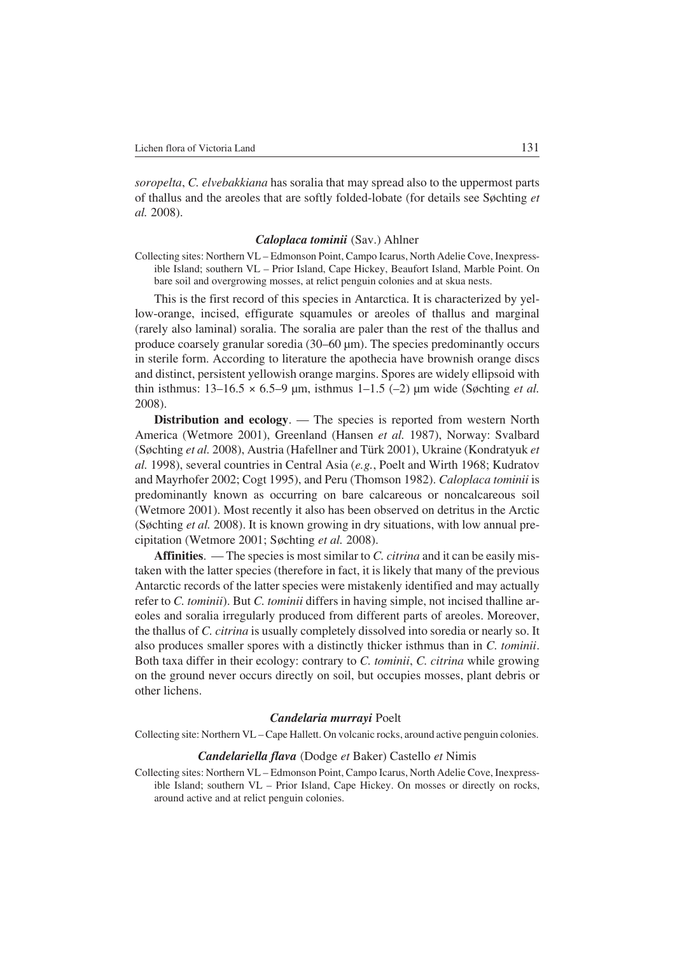*soropelta*, *C. elvebakkiana* has soralia that may spread also to the uppermost parts of thallus and the areoles that are softly folded−lobate (for details see Søchting *et al.* 2008).

#### *Caloplaca tominii* (Sav.) Ahlner

Collecting sites: Northern VL – Edmonson Point, Campo Icarus, North Adelie Cove, Inexpress− ible Island; southern VL – Prior Island, Cape Hickey, Beaufort Island, Marble Point. On bare soil and overgrowing mosses, at relict penguin colonies and at skua nests.

This is the first record of this species in Antarctica. It is characterized by yel− low−orange, incised, effigurate squamules or areoles of thallus and marginal (rarely also laminal) soralia. The soralia are paler than the rest of the thallus and produce coarsely granular soredia (30–60 μm). The species predominantly occurs in sterile form. According to literature the apothecia have brownish orange discs and distinct, persistent yellowish orange margins. Spores are widely ellipsoid with thin isthmus:  $13-16.5 \times 6.5-9$  µm, isthmus  $1-1.5$  (-2) µm wide (Søchting *et al.*) 2008).

**Distribution and ecology**. — The species is reported from western North America (Wetmore 2001), Greenland (Hansen *et al.* 1987), Norway: Svalbard (Søchting *et al.* 2008), Austria (Hafellner and Türk 2001), Ukraine (Kondratyuk *et al.* 1998), several countries in Central Asia (*e.g.*, Poelt and Wirth 1968; Kudratov and Mayrhofer 2002; Cogt 1995), and Peru (Thomson 1982). *Caloplaca tominii* is predominantly known as occurring on bare calcareous or noncalcareous soil (Wetmore 2001). Most recently it also has been observed on detritus in the Arctic (Søchting *et al.* 2008). It is known growing in dry situations, with low annual pre− cipitation (Wetmore 2001; Søchting *et al.* 2008).

**Affinities**. — The species is most similar to *C. citrina* and it can be easily mis− taken with the latter species (therefore in fact, it is likely that many of the previous Antarctic records of the latter species were mistakenly identified and may actually refer to *C. tominii*). But *C. tominii* differs in having simple, not incised thalline ar− eoles and soralia irregularly produced from different parts of areoles. Moreover, the thallus of *C. citrina* is usually completely dissolved into soredia or nearly so. It also produces smaller spores with a distinctly thicker isthmus than in *C. tominii*. Both taxa differ in their ecology: contrary to *C. tominii*, *C. citrina* while growing on the ground never occurs directly on soil, but occupies mosses, plant debris or other lichens.

#### *Candelaria murrayi* Poelt

Collecting site: Northern VL – Cape Hallett. On volcanic rocks, around active penguin colonies.

#### *Candelariella flava* (Dodge *et* Baker) Castello *et* Nimis

Collecting sites: Northern VL – Edmonson Point, Campo Icarus, North Adelie Cove, Inexpress− ible Island; southern VL – Prior Island, Cape Hickey. On mosses or directly on rocks, around active and at relict penguin colonies.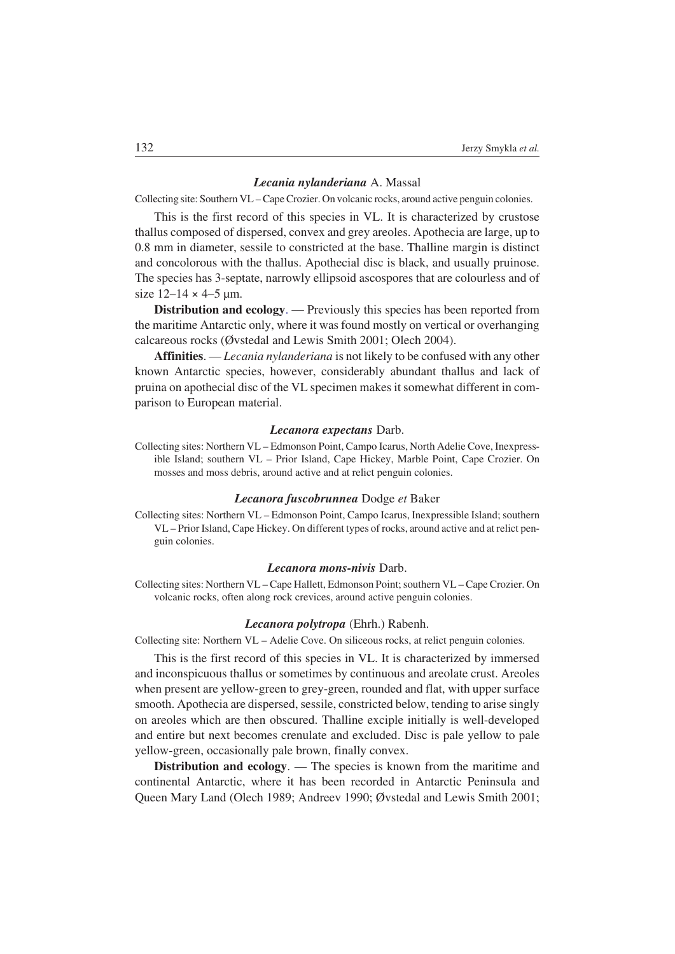#### *Lecania nylanderiana* A. Massal

Collecting site: Southern VL – Cape Crozier. On volcanic rocks, around active penguin colonies.

This is the first record of this species in VL. It is characterized by crustose thallus composed of dispersed, convex and grey areoles. Apothecia are large, up to 0.8 mm in diameter, sessile to constricted at the base. Thalline margin is distinct and concolorous with the thallus. Apothecial disc is black, and usually pruinose. The species has 3−septate, narrowly ellipsoid ascospores that are colourless and of size  $12 - 14 \times 4 - 5$  um.

**Distribution and ecology**. — Previously this species has been reported from the maritime Antarctic only, where it was found mostly on vertical or overhanging calcareous rocks (Øvstedal and Lewis Smith 2001; Olech 2004).

**Affinities**. — *Lecania nylanderiana* is not likely to be confused with any other known Antarctic species, however, considerably abundant thallus and lack of pruina on apothecial disc of the VL specimen makes it somewhat different in com− parison to European material.

#### *Lecanora expectans* Darb.

Collecting sites: Northern VL – Edmonson Point, Campo Icarus, North Adelie Cove, Inexpress− ible Island; southern VL – Prior Island, Cape Hickey, Marble Point, Cape Crozier. On mosses and moss debris, around active and at relict penguin colonies.

#### *Lecanora fuscobrunnea* Dodge *et* Baker

Collecting sites: Northern VL – Edmonson Point, Campo Icarus, Inexpressible Island; southern VL – Prior Island, Cape Hickey. On different types of rocks, around active and at relict pen− guin colonies.

#### *Lecanora mons−nivis* Darb.

Collecting sites: Northern VL – Cape Hallett, Edmonson Point; southern VL – Cape Crozier. On volcanic rocks, often along rock crevices, around active penguin colonies.

#### *Lecanora polytropa* (Ehrh.) Rabenh.

Collecting site: Northern VL – Adelie Cove. On siliceous rocks, at relict penguin colonies.

This is the first record of this species in VL. It is characterized by immersed and inconspicuous thallus or sometimes by continuous and areolate crust. Areoles when present are yellow−green to grey−green, rounded and flat, with upper surface smooth. Apothecia are dispersed, sessile, constricted below, tending to arise singly on areoles which are then obscured. Thalline exciple initially is well−developed and entire but next becomes crenulate and excluded. Disc is pale yellow to pale yellow−green, occasionally pale brown, finally convex.

**Distribution and ecology.** — The species is known from the maritime and continental Antarctic, where it has been recorded in Antarctic Peninsula and Queen Mary Land (Olech 1989; Andreev 1990; Øvstedal and Lewis Smith 2001;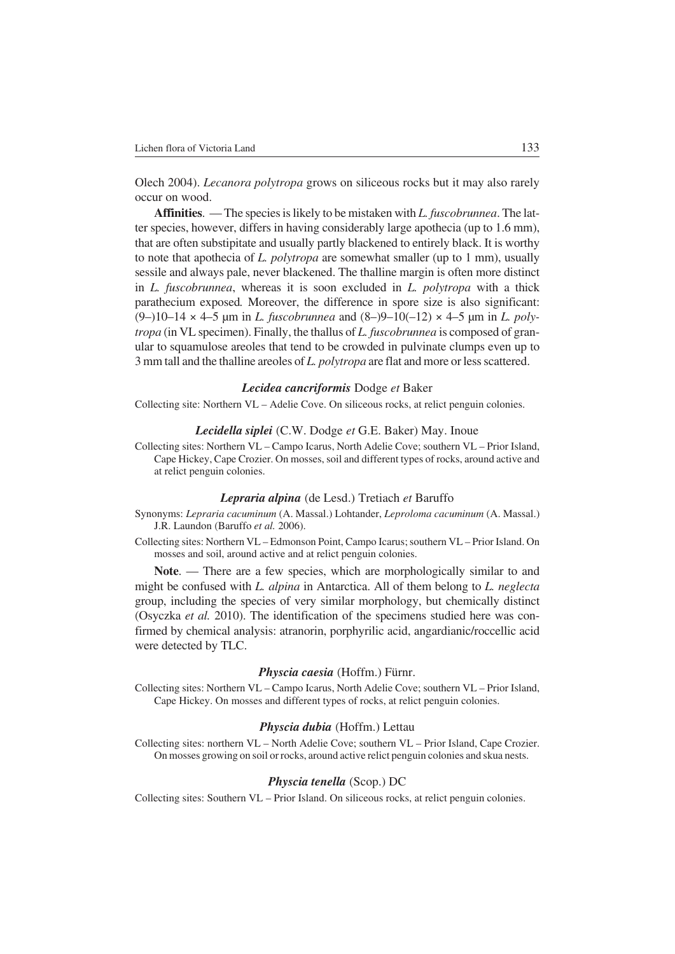Olech 2004). *Lecanora polytropa* grows on siliceous rocks but it may also rarely occur on wood.

**Affinities**. — The species is likely to be mistaken with *L. fuscobrunnea*. The lat− ter species, however, differs in having considerably large apothecia (up to 1.6 mm), that are often substipitate and usually partly blackened to entirely black. It is worthy to note that apothecia of *L. polytropa* are somewhat smaller (up to 1 mm), usually sessile and always pale, never blackened. The thalline margin is often more distinct in *L. fuscobrunnea*, whereas it is soon excluded in *L. polytropa* with a thick parathecium exposed*.* Moreover, the difference in spore size is also significant: (9–)10–14 × 4–5 μm in *L. fuscobrunnea* and (8–)9–10(–12) × 4–5 μm in *L. poly− tropa* (in VL specimen). Finally, the thallus of *L. fuscobrunnea* is composed of gran− ular to squamulose areoles that tend to be crowded in pulvinate clumps even up to 3 mm tall and the thalline areoles of *L. polytropa* are flat and more or less scattered.

#### *Lecidea cancriformis* Dodge *et* Baker

Collecting site: Northern VL – Adelie Cove. On siliceous rocks, at relict penguin colonies.

#### *Lecidella siplei* (C.W. Dodge *et* G.E. Baker) May. Inoue

Collecting sites: Northern VL – Campo Icarus, North Adelie Cove; southern VL – Prior Island, Cape Hickey, Cape Crozier. On mosses, soil and different types of rocks, around active and at relict penguin colonies.

#### *Lepraria alpina* (de Lesd.) Tretiach *et* Baruffo

- Synonyms: *Lepraria cacuminum* (A. Massal.) Lohtander, *Leproloma cacuminum* (A. Massal.) J.R. Laundon (Baruffo *et al.* 2006).
- Collecting sites: Northern VL Edmonson Point, Campo Icarus; southern VL Prior Island. On mosses and soil, around active and at relict penguin colonies.

Note. — There are a few species, which are morphologically similar to and might be confused with *L. alpina* in Antarctica. All of them belong to *L. neglecta* group, including the species of very similar morphology, but chemically distinct (Osyczka *et al.* 2010). The identification of the specimens studied here was con− firmed by chemical analysis: atranorin, porphyrilic acid, angardianic/roccellic acid were detected by TLC.

#### *Physcia caesia* (Hoffm.) Fürnr.

Collecting sites: Northern VL – Campo Icarus, North Adelie Cove; southern VL – Prior Island, Cape Hickey. On mosses and different types of rocks, at relict penguin colonies.

#### *Physcia dubia* (Hoffm.) Lettau

Collecting sites: northern VL – North Adelie Cove; southern VL – Prior Island, Cape Crozier. On mosses growing on soil or rocks, around active relict penguin colonies and skua nests.

#### *Physcia tenella* (Scop.) DC

Collecting sites: Southern VL – Prior Island. On siliceous rocks, at relict penguin colonies.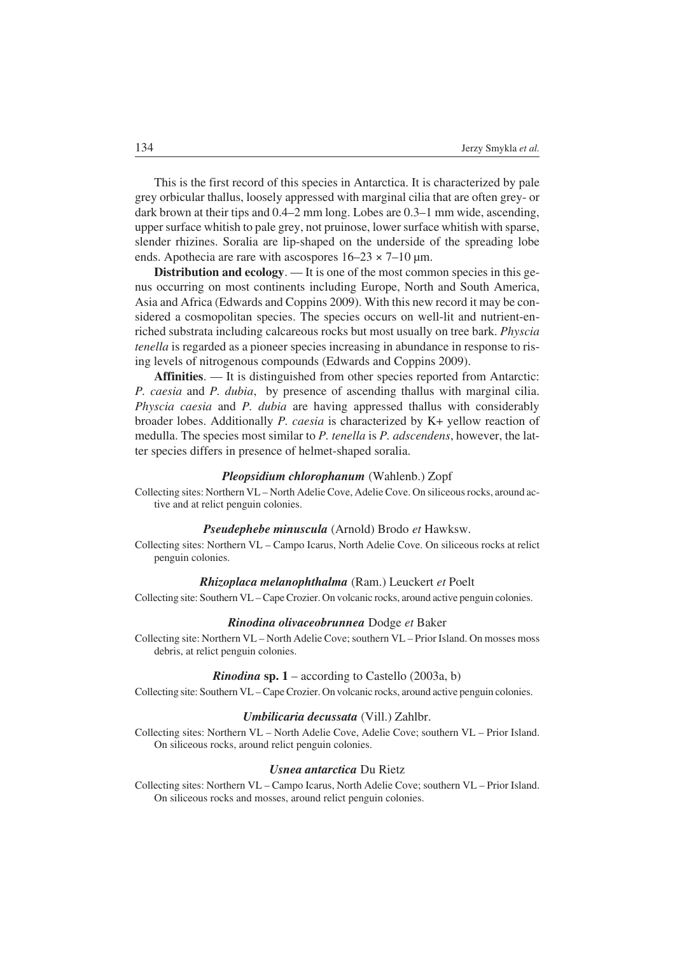This is the first record of this species in Antarctica. It is characterized by pale grey orbicular thallus, loosely appressed with marginal cilia that are often grey− or dark brown at their tips and 0.4–2 mm long. Lobes are 0.3–1 mm wide, ascending, upper surface whitish to pale grey, not pruinose, lower surface whitish with sparse, slender rhizines. Soralia are lip−shaped on the underside of the spreading lobe ends. Apothecia are rare with ascospores  $16-23 \times 7-10$  um.

**Distribution and ecology**. — It is one of the most common species in this ge− nus occurring on most continents including Europe, North and South America, Asia and Africa (Edwards and Coppins 2009). With this new record it may be con− sidered a cosmopolitan species. The species occurs on well-lit and nutrient-enriched substrata including calcareous rocks but most usually on tree bark. *Physcia tenella* is regarded as a pioneer species increasing in abundance in response to ris− ing levels of nitrogenous compounds (Edwards and Coppins 2009).

**Affinities**. — It is distinguished from other species reported from Antarctic: *P. caesia* and *P. dubia*, by presence of ascending thallus with marginal cilia. *Physcia caesia* and *P. dubia* are having appressed thallus with considerably broader lobes. Additionally *P. caesia* is characterized by K+ yellow reaction of medulla. The species most similar to *P. tenella* is *P. adscendens*, however, the lat− ter species differs in presence of helmet−shaped soralia.

#### *Pleopsidium chlorophanum* (Wahlenb.) Zopf

Collecting sites: Northern VL – North Adelie Cove, Adelie Cove. On siliceous rocks, around ac− tive and at relict penguin colonies.

#### *Pseudephebe minuscula* (Arnold) Brodo *et* Hawksw.

Collecting sites: Northern VL – Campo Icarus, North Adelie Cove. On siliceous rocks at relict penguin colonies.

## *Rhizoplaca melanophthalma* (Ram.) Leuckert *et* Poelt

Collecting site: Southern VL – Cape Crozier. On volcanic rocks, around active penguin colonies.

#### *Rinodina olivaceobrunnea* Dodge *et* Baker

Collecting site: Northern VL – North Adelie Cove; southern VL – Prior Island. On mosses moss debris, at relict penguin colonies.

#### *Rinodina* sp.  $1 -$  according to Castello (2003a, b)

Collecting site: Southern VL – Cape Crozier. On volcanic rocks, around active penguin colonies.

#### *Umbilicaria decussata* (Vill.) Zahlbr.

Collecting sites: Northern VL – North Adelie Cove, Adelie Cove; southern VL – Prior Island. On siliceous rocks, around relict penguin colonies.

## *Usnea antarctica* Du Rietz

Collecting sites: Northern VL – Campo Icarus, North Adelie Cove; southern VL – Prior Island. On siliceous rocks and mosses, around relict penguin colonies.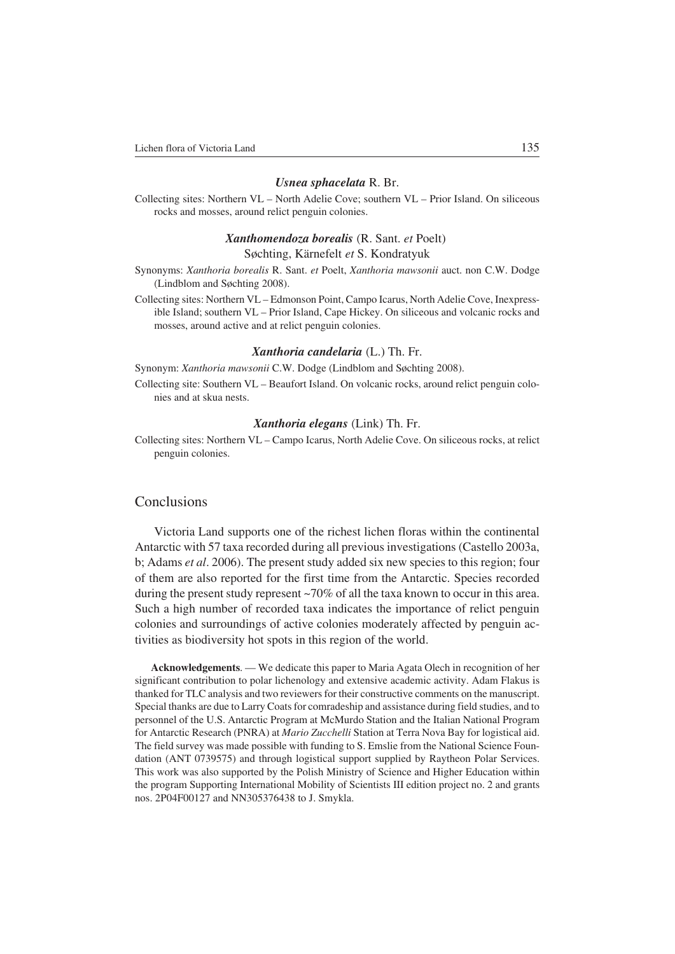#### *Usnea sphacelata* R. Br.

Collecting sites: Northern VL – North Adelie Cove; southern VL – Prior Island. On siliceous rocks and mosses, around relict penguin colonies.

# *Xanthomendoza borealis* (R. Sant. *et* Poelt)

# Søchting, Kärnefelt *et* S. Kondratyuk

Synonyms: *Xanthoria borealis* R. Sant. *et* Poelt, *Xanthoria mawsonii* auct. non C.W. Dodge (Lindblom and Søchting 2008).

Collecting sites: Northern VL – Edmonson Point, Campo Icarus, North Adelie Cove, Inexpress− ible Island; southern VL – Prior Island, Cape Hickey. On siliceous and volcanic rocks and mosses, around active and at relict penguin colonies.

#### *Xanthoria candelaria* (L.) Th. Fr.

Synonym: *Xanthoria mawsonii* C.W. Dodge (Lindblom and Søchting 2008).

Collecting site: Southern VL – Beaufort Island. On volcanic rocks, around relict penguin colo− nies and at skua nests.

#### *Xanthoria elegans* (Link) Th. Fr.

Collecting sites: Northern VL – Campo Icarus, North Adelie Cove. On siliceous rocks, at relict penguin colonies.

# **Conclusions**

Victoria Land supports one of the richest lichen floras within the continental Antarctic with 57 taxa recorded during all previous investigations (Castello 2003a, b; Adams *et al*. 2006). The present study added six new species to this region; four of them are also reported for the first time from the Antarctic. Species recorded during the present study represent ~70% of all the taxa known to occur in this area. Such a high number of recorded taxa indicates the importance of relict penguin colonies and surroundings of active colonies moderately affected by penguin ac− tivities as biodiversity hot spots in this region of the world.

**Acknowledgements**. — We dedicate this paper to Maria Agata Olech in recognition of her significant contribution to polar lichenology and extensive academic activity. Adam Flakus is thanked for TLC analysis and two reviewers for their constructive comments on the manuscript. Special thanks are due to Larry Coats for comradeship and assistance during field studies, and to personnel of the U.S. Antarctic Program at McMurdo Station and the Italian National Program for Antarctic Research (PNRA) at *Mario Zucchelli* Station at Terra Nova Bay for logistical aid. The field survey was made possible with funding to S. Emslie from the National Science Foun− dation (ANT 0739575) and through logistical support supplied by Raytheon Polar Services. This work was also supported by the Polish Ministry of Science and Higher Education within the program Supporting International Mobility of Scientists III edition project no. 2 and grants nos. 2P04F00127 and NN305376438 to J. Smykla.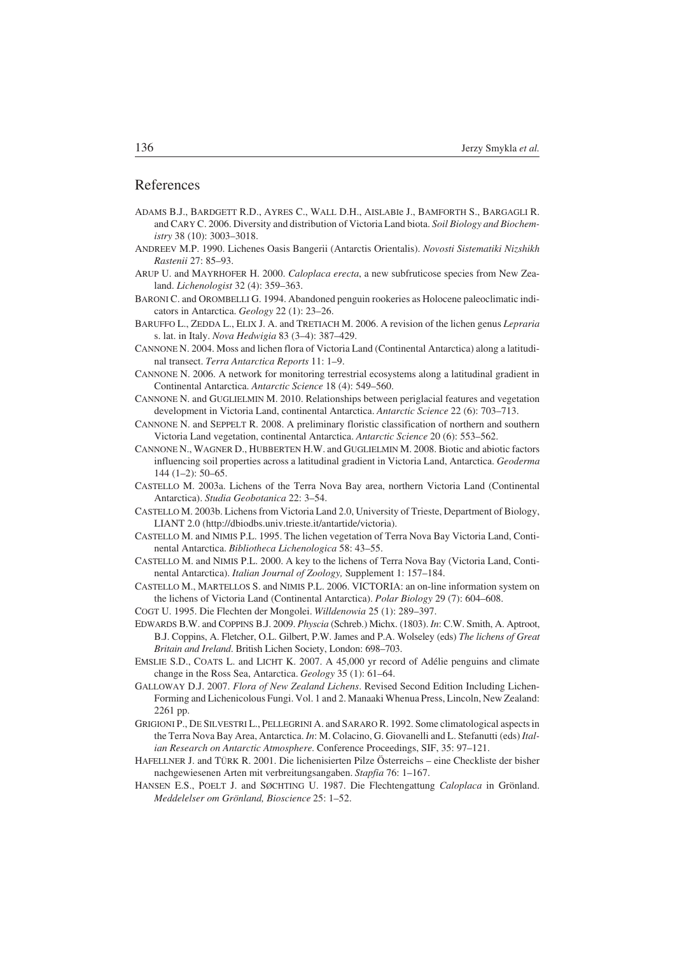## References

- ADAMS B.J., BARDGETT R.D., AYRES C., WALL D.H., AISLABIe J., BAMFORTH S., BARGAGLI R. and CARY C. 2006. Diversity and distribution of Victoria Land biota. *Soil Biology and Biochem− istry* 38 (10): 3003–3018.
- ANDREEV M.P. 1990. Lichenes Oasis Bangerii (Antarctis Orientalis). *Novosti Sistematiki Nizshikh Rastenii* 27: 85–93.
- ARUP U. and MAYRHOFER H. 2000. *Caloplaca erecta*, a new subfruticose species from New Zea− land. *Lichenologist* 32 (4): 359–363.
- BARONI C. and OROMBELLI G. 1994. Abandoned penguin rookeries as Holocene paleoclimatic indi− cators in Antarctica. *Geology* 22 (1): 23–26.
- BARUFFO L., ZEDDA L., ELIX J. A. and TRETIACH M. 2006. A revision of the lichen genus *Lepraria* s. lat. in Italy. *Nova Hedwigia* 83 (3–4): 387–429.
- CANNONE N. 2004. Moss and lichen flora of Victoria Land (Continental Antarctica) along a latitudi− nal transect. *Terra Antarctica Reports* 11: 1–9.
- CANNONE N. 2006. A network for monitoring terrestrial ecosystems along a latitudinal gradient in Continental Antarctica. *Antarctic Science* 18 (4): 549–560.
- CANNONE N. and GUGLIELMIN M. 2010. Relationships between periglacial features and vegetation development in Victoria Land, continental Antarctica. *Antarctic Science* 22 (6): 703–713.
- CANNONE N. and SEPPELT R. 2008. A preliminary floristic classification of northern and southern Victoria Land vegetation, continental Antarctica. *Antarctic Science* 20 (6): 553–562.
- CANNONE N., WAGNER D., HUBBERTEN H.W. and GUGLIELMIN M. 2008. Biotic and abiotic factors influencing soil properties across a latitudinal gradient in Victoria Land, Antarctica. *Geoderma*  $144(1-2): 50-65.$
- CASTELLO M. 2003a. Lichens of the Terra Nova Bay area, northern Victoria Land (Continental Antarctica). *Studia Geobotanica* 22: 3–54.
- CASTELLO M. 2003b. Lichens from Victoria Land 2.0, University of Trieste, Department of Biology, LIANT 2.0 (http://dbiodbs.univ.trieste.it/antartide/victoria).
- CASTELLO M. and NIMIS P.L. 1995. The lichen vegetation of Terra Nova Bay Victoria Land, Conti− nental Antarctica. *Bibliotheca Lichenologica* 58: 43–55.
- CASTELLO M. and NIMIS P.L. 2000. A key to the lichens of Terra Nova Bay (Victoria Land, Conti− nental Antarctica). *Italian Journal of Zoology,* Supplement 1: 157–184.
- CASTELLO M., MARTELLOS S. and NIMIS P.L. 2006. VICTORIA: an on−line information system on the lichens of Victoria Land (Continental Antarctica). *Polar Biology* 29 (7): 604–608.
- COGT U. 1995. Die Flechten der Mongolei. *Willdenowia* 25 (1): 289–397.
- EDWARDS B.W. and COPPINS B.J. 2009. *Physcia* (Schreb.) Michx. (1803). *In*: C.W. Smith, A. Aptroot, B.J. Coppins, A. Fletcher, O.L. Gilbert, P.W. James and P.A. Wolseley (eds) *The lichens of Great Britain and Ireland*. British Lichen Society, London: 698–703.
- EMSLIE S.D., COATS L. and LICHT K. 2007. A 45,000 yr record of Adélie penguins and climate change in the Ross Sea, Antarctica. *Geology* 35 (1): 61–64.
- GALLOWAY D.J. 2007. *Flora of New Zealand Lichens*. Revised Second Edition Including Lichen− Forming and Lichenicolous Fungi. Vol. 1 and 2. Manaaki Whenua Press, Lincoln, New Zealand: 2261 pp.
- GRIGIONI P., DE SILVESTRI L., PELLEGRINI A. and SARARO R. 1992. Some climatological aspects in the Terra Nova Bay Area, Antarctica. *In*: M. Colacino, G. Giovanelli and L. Stefanutti (eds) *Ital− ian Research on Antarctic Atmosphere*. Conference Proceedings, SIF, 35: 97–121.
- HAFELLNER J. and TÜRK R. 2001. Die lichenisierten Pilze Österreichs eine Checkliste der bisher nachgewiesenen Arten mit verbreitungsangaben. *Stapfia* 76: 1–167.
- HANSEN E.S., POELT J. and SØCHTING U. 1987. Die Flechtengattung *Caloplaca* in Grönland. *Meddelelser om Grönland, Bioscience* 25: 1–52.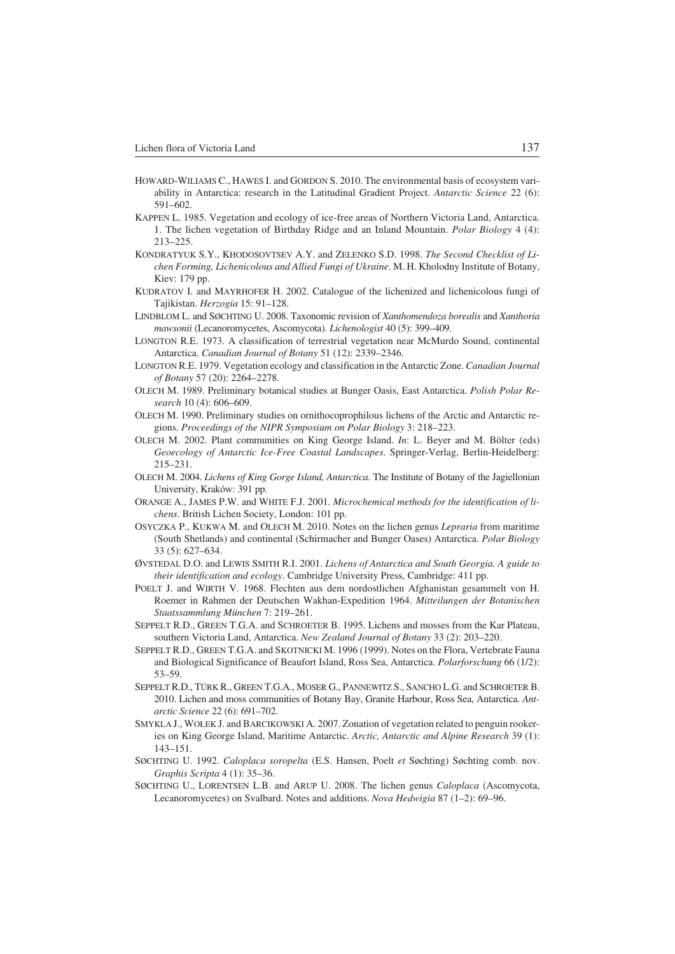- HOWARD−WILIAMS C., HAWES I. and GORDON S. 2010. The environmental basis of ecosystem vari− ability in Antarctica: research in the Latitudinal Gradient Project. *Antarctic Science* 22 (6): 591–602.
- KAPPEN L. 1985. Vegetation and ecology of ice−free areas of Northern Victoria Land, Antarctica. 1. The lichen vegetation of Birthday Ridge and an Inland Mountain. *Polar Biology* 4 (4): 213–225.
- KONDRATYUK S.Y., KHODOSOVTSEV A.Y. and ZELENKO S.D. 1998. *The Second Checklist of Li− chen Forming, Lichenicolous and Allied Fungi of Ukraine*. M. H. Kholodny Institute of Botany, Kiev: 179 pp.
- KUDRATOV I. and MAYRHOFER H. 2002. Catalogue of the lichenized and lichenicolous fungi of Tajikistan. *Herzogia* 15: 91–128.
- LINDBLOM L. and SØCHTING U. 2008. Taxonomic revision of *Xanthomendoza borealis* and *Xanthoria mawsonii* (Lecanoromycetes, Ascomycota). *Lichenologist* 40 (5): 399–409.
- LONGTON R.E. 1973. A classification of terrestrial vegetation near McMurdo Sound, continental Antarctica. *Canadian Journal of Botany* 51 (12): 2339–2346.
- LONGTON R.E. 1979. Vegetation ecology and classification in the Antarctic Zone. *Canadian Journal of Botany* 57 (20): 2264–2278.
- OLECH M. 1989. Preliminary botanical studies at Bunger Oasis, East Antarctica. *Polish Polar Re− search* 10 (4): 606–609.
- OLECH M. 1990. Preliminary studies on ornithocoprophilous lichens of the Arctic and Antarctic re− gions. *Proceedings of the NIPR Symposium on Polar Biology* 3: 218–223.
- OLECH M. 2002. Plant communities on King George Island. *In*: L. Beyer and M. Bölter (eds) *Geoecology of Antarctic Ice−Free Coastal Landscapes*. Springer−Verlag, Berlin−Heidelberg: 215–231.
- OLECH M. 2004. *Lichens of King Gorge Island, Antarctica*. The Institute of Botany of the Jagiellonian University, Kraków: 391 pp.
- ORANGE A., JAMES P.W. and WHITE F.J. 2001. *Microchemical methods for the identification of li− chens*. British Lichen Society, London: 101 pp.
- OSYCZKA P., KUKWA M. and OLECH M. 2010. Notes on the lichen genus *Lepraria* from maritime (South Shetlands) and continental (Schirmacher and Bunger Oases) Antarctica. *Polar Biology* 33 (5): 627–634.
- ØVSTEDAL D.O. and LEWIS SMITH R.I. 2001. *Lichens of Antarctica and South Georgia. A guide to their identification and ecology*. Cambridge University Press, Cambridge: 411 pp.
- POELT J. and WIRTH V. 1968. Flechten aus dem nordostlichen Afghanistan gesammelt von H. Roemer in Rahmen der Deutschen Wakhan−Expedition 1964. *Mitteilungen der Botanischen Staatssammlung München* 7: 219–261.
- SEPPELT R.D., GREEN T.G.A. and SCHROETER B. 1995. Lichens and mosses from the Kar Plateau, southern Victoria Land, Antarctica. *New Zealand Journal of Botany* 33 (2): 203–220.
- SEPPELT R.D., GREEN T.G.A. and SKOTNICKI M. 1996 (1999). Notes on the Flora, Vertebrate Fauna and Biological Significance of Beaufort Island, Ross Sea, Antarctica. *Polarforschung* 66 (1/2): 53–59.
- SEPPELT R.D., TÜRK R., GREEN T.G.A., MOSER G., PANNEWITZ S., SANCHO L.G. and SCHROETER B. 2010. Lichen and moss communities of Botany Bay, Granite Harbour, Ross Sea, Antarctica. *Ant− arctic Science* 22 (6): 691–702.
- SMYKLA J., WOŁEK J. and BARCIKOWSKI A. 2007. Zonation of vegetation related to penguin rooker− ies on King George Island, Maritime Antarctic. *Arctic, Antarctic and Alpine Research* 39 (1): 143–151.
- SØCHTING U. 1992. *Caloplaca soropelta* (E.S. Hansen, Poelt *et* Søchting) Søchting comb. nov. *Graphis Scripta* 4 (1): 35–36.
- SØCHTING U., LORENTSEN L.B. and ARUP U. 2008. The lichen genus *Caloplaca* (Ascomycota, Lecanoromycetes) on Svalbard. Notes and additions. *Nova Hedwigia* 87 (1–2): 69–96.